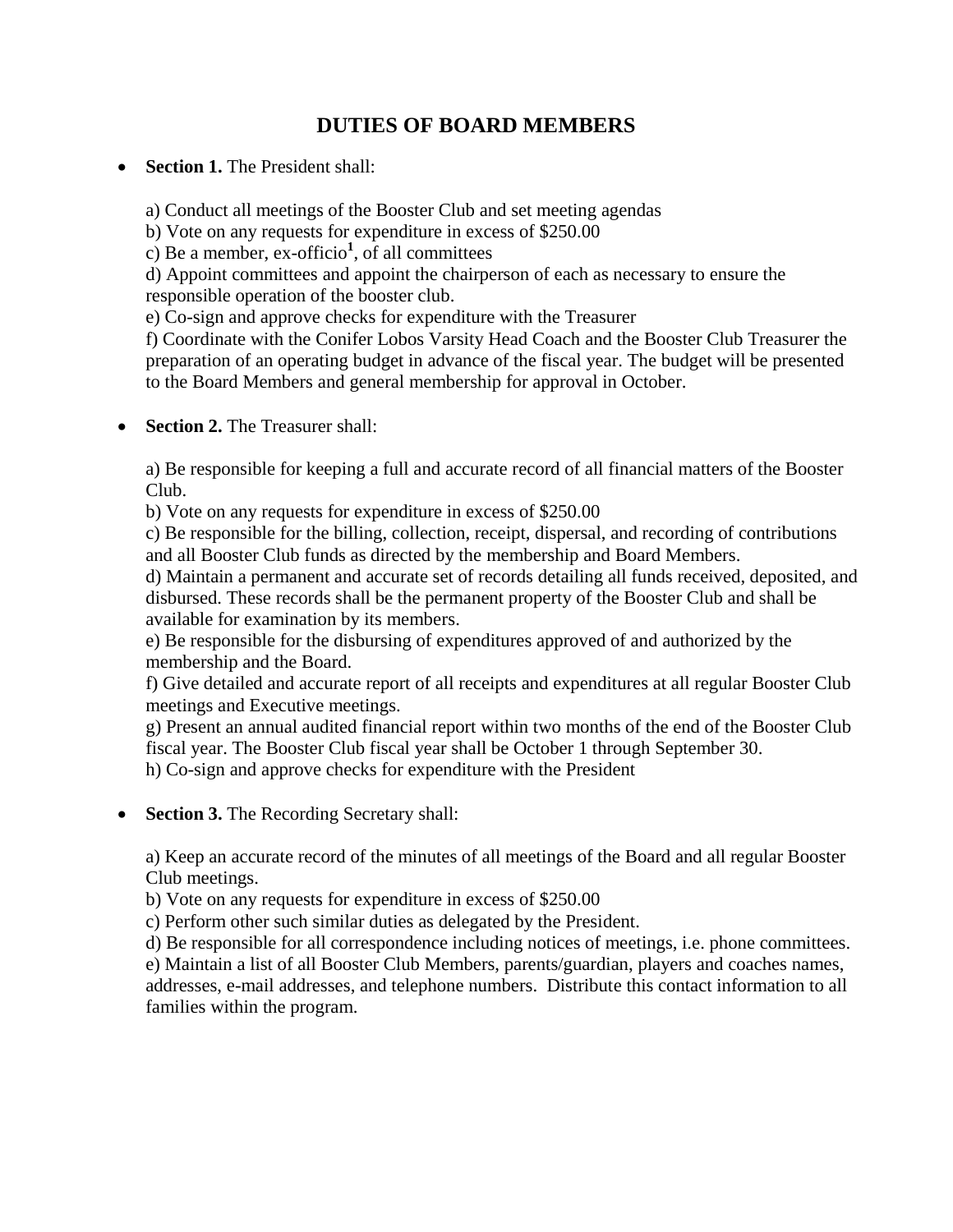## **DUTIES OF BOARD MEMBERS**

**Section 1.** The President shall:

a) Conduct all meetings of the Booster Club and set meeting agendas

b) Vote on any requests for expenditure in excess of \$250.00

c) Be a member, ex-officio**<sup>1</sup>** , of all committees

d) Appoint committees and appoint the chairperson of each as necessary to ensure the responsible operation of the booster club.

e) Co-sign and approve checks for expenditure with the Treasurer

f) Coordinate with the Conifer Lobos Varsity Head Coach and the Booster Club Treasurer the preparation of an operating budget in advance of the fiscal year. The budget will be presented to the Board Members and general membership for approval in October.

• **Section 2.** The Treasurer shall:

a) Be responsible for keeping a full and accurate record of all financial matters of the Booster Club.

b) Vote on any requests for expenditure in excess of \$250.00

c) Be responsible for the billing, collection, receipt, dispersal, and recording of contributions and all Booster Club funds as directed by the membership and Board Members.

d) Maintain a permanent and accurate set of records detailing all funds received, deposited, and disbursed. These records shall be the permanent property of the Booster Club and shall be available for examination by its members.

e) Be responsible for the disbursing of expenditures approved of and authorized by the membership and the Board.

f) Give detailed and accurate report of all receipts and expenditures at all regular Booster Club meetings and Executive meetings.

g) Present an annual audited financial report within two months of the end of the Booster Club fiscal year. The Booster Club fiscal year shall be October 1 through September 30. h) Co-sign and approve checks for expenditure with the President

**Section 3.** The Recording Secretary shall:

a) Keep an accurate record of the minutes of all meetings of the Board and all regular Booster Club meetings.

b) Vote on any requests for expenditure in excess of \$250.00

c) Perform other such similar duties as delegated by the President.

d) Be responsible for all correspondence including notices of meetings, i.e. phone committees.

e) Maintain a list of all Booster Club Members, parents/guardian, players and coaches names, addresses, e-mail addresses, and telephone numbers. Distribute this contact information to all families within the program.